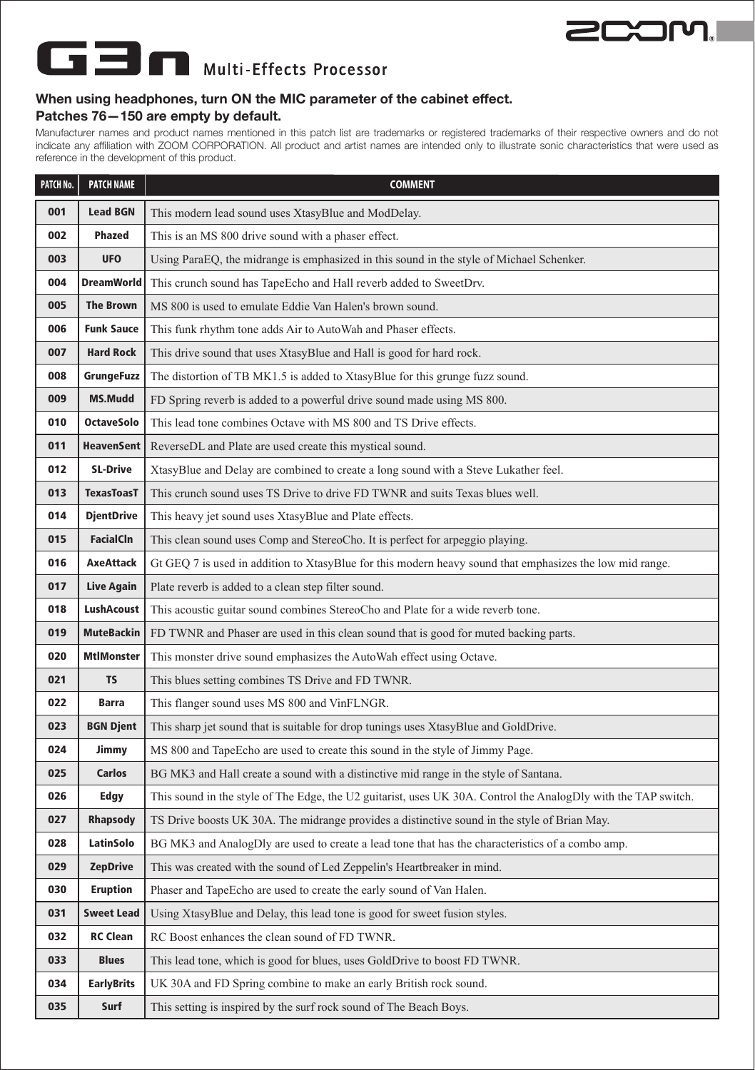

## **TE** Multi-Effects Processor

## **When using headphones, turn ON the MIC parameter of the cabinet effect. Patches 76—150 are empty by default.**

Manufacturer names and product names mentioned in this patch list are trademarks or registered trademarks of their respective owners and do not indicate any affiliation with ZOOM CORPORATION. All product and artist names are intended only to illustrate sonic characteristics that were used as reference in the development of this product.

| PATCH No. | <b>PATCH NAME</b> | <b>COMMENT</b>                                                                                                 |
|-----------|-------------------|----------------------------------------------------------------------------------------------------------------|
| 001       | <b>Lead BGN</b>   | This modern lead sound uses XtasyBlue and ModDelay.                                                            |
| 002       | Phazed            | This is an MS 800 drive sound with a phaser effect.                                                            |
| 003       | UF <sub>0</sub>   | Using ParaEQ, the midrange is emphasized in this sound in the style of Michael Schenker.                       |
| 004       | <b>DreamWorld</b> | This crunch sound has TapeEcho and Hall reverb added to SweetDrv.                                              |
| 005       | <b>The Brown</b>  | MS 800 is used to emulate Eddie Van Halen's brown sound.                                                       |
| 006       | <b>Funk Sauce</b> | This funk rhythm tone adds Air to AutoWah and Phaser effects.                                                  |
| 007       | <b>Hard Rock</b>  | This drive sound that uses XtasyBlue and Hall is good for hard rock.                                           |
| 008       | GrungeFuzz        | The distortion of TB MK1.5 is added to XtasyBlue for this grunge fuzz sound.                                   |
| 009       | <b>MS.Mudd</b>    | FD Spring reverb is added to a powerful drive sound made using MS 800.                                         |
| 010       | <b>OctaveSolo</b> | This lead tone combines Octave with MS 800 and TS Drive effects.                                               |
| 011       | <b>HeavenSent</b> | ReverseDL and Plate are used create this mystical sound.                                                       |
| 012       | <b>SL-Drive</b>   | XtasyBlue and Delay are combined to create a long sound with a Steve Lukather feel.                            |
| 013       | <b>TexasToasT</b> | This crunch sound uses TS Drive to drive FD TWNR and suits Texas blues well.                                   |
| 014       | <b>DjentDrive</b> | This heavy jet sound uses XtasyBlue and Plate effects.                                                         |
| 015       | <b>FacialCIn</b>  | This clean sound uses Comp and StereoCho. It is perfect for arpeggio playing.                                  |
| 016       | <b>AxeAttack</b>  | Gt GEQ 7 is used in addition to XtasyBlue for this modern heavy sound that emphasizes the low mid range.       |
| 017       | <b>Live Again</b> | Plate reverb is added to a clean step filter sound.                                                            |
| 018       | <b>LushAcoust</b> | This acoustic guitar sound combines StereoCho and Plate for a wide reverb tone.                                |
| 019       | <b>MuteBackin</b> | FD TWNR and Phaser are used in this clean sound that is good for muted backing parts.                          |
| 020       | <b>MtlMonster</b> | This monster drive sound emphasizes the AutoWah effect using Octave.                                           |
| 021       | <b>TS</b>         | This blues setting combines TS Drive and FD TWNR.                                                              |
| 022       | <b>Barra</b>      | This flanger sound uses MS 800 and VinFLNGR.                                                                   |
| 023       | <b>BGN Djent</b>  | This sharp jet sound that is suitable for drop tunings uses XtasyBlue and GoldDrive.                           |
| 024       | Jimmy             | MS 800 and TapeEcho are used to create this sound in the style of Jimmy Page.                                  |
| 025       | Carlos            | BG MK3 and Hall create a sound with a distinctive mid range in the style of Santana.                           |
| 026       | Edgy              | This sound in the style of The Edge, the U2 guitarist, uses UK 30A. Control the AnalogDly with the TAP switch. |
| 027       | Rhapsody          | TS Drive boosts UK 30A. The midrange provides a distinctive sound in the style of Brian May.                   |
| 028       | LatinSolo         | BG MK3 and AnalogDly are used to create a lead tone that has the characteristics of a combo amp.               |
| 029       | <b>ZepDrive</b>   | This was created with the sound of Led Zeppelin's Heartbreaker in mind.                                        |
| 030       | <b>Eruption</b>   | Phaser and TapeEcho are used to create the early sound of Van Halen.                                           |
| 031       | <b>Sweet Lead</b> | Using XtasyBlue and Delay, this lead tone is good for sweet fusion styles.                                     |
| 032       | <b>RC Clean</b>   | RC Boost enhances the clean sound of FD TWNR.                                                                  |
| 033       | <b>Blues</b>      | This lead tone, which is good for blues, uses GoldDrive to boost FD TWNR.                                      |
| 034       | <b>EarlyBrits</b> | UK 30A and FD Spring combine to make an early British rock sound.                                              |
| 035       | Surf              | This setting is inspired by the surf rock sound of The Beach Boys.                                             |